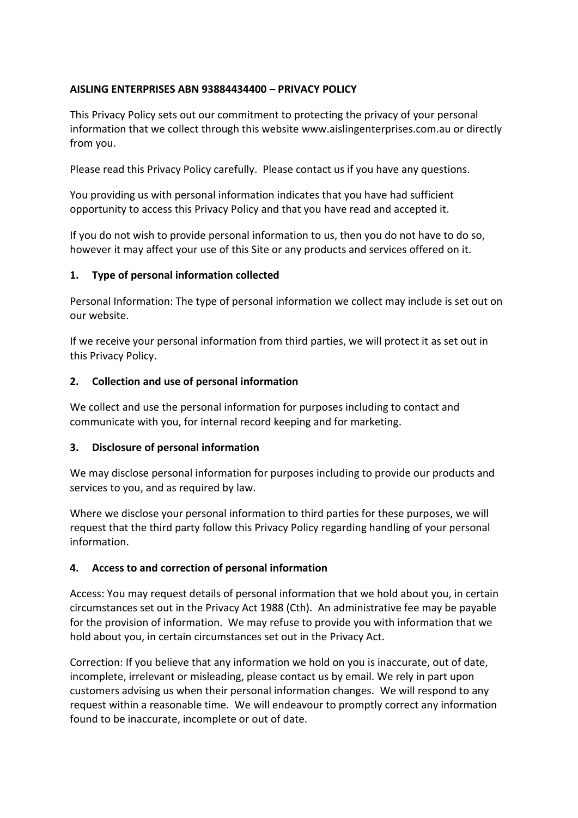# **AISLING ENTERPRISES ABN 93884434400 – PRIVACY POLICY**

This Privacy Policy sets out our commitment to protecting the privacy of your personal information that we collect through this website www.aislingenterprises.com.au or directly from you.

Please read this Privacy Policy carefully. Please contact us if you have any questions.

You providing us with personal information indicates that you have had sufficient opportunity to access this Privacy Policy and that you have read and accepted it.

If you do not wish to provide personal information to us, then you do not have to do so, however it may affect your use of this Site or any products and services offered on it.

#### **1. Type of personal information collected**

Personal Information: The type of personal information we collect may include is set out on our website.

If we receive your personal information from third parties, we will protect it as set out in this Privacy Policy.

#### **2. Collection and use of personal information**

We collect and use the personal information for purposes including to contact and communicate with you, for internal record keeping and for marketing.

## **3. Disclosure of personal information**

We may disclose personal information for purposes including to provide our products and services to you, and as required by law.

Where we disclose your personal information to third parties for these purposes, we will request that the third party follow this Privacy Policy regarding handling of your personal information.

## **4. Access to and correction of personal information**

Access: You may request details of personal information that we hold about you, in certain circumstances set out in the Privacy Act 1988 (Cth). An administrative fee may be payable for the provision of information. We may refuse to provide you with information that we hold about you, in certain circumstances set out in the Privacy Act.

Correction: If you believe that any information we hold on you is inaccurate, out of date, incomplete, irrelevant or misleading, please contact us by email. We rely in part upon customers advising us when their personal information changes. We will respond to any request within a reasonable time. We will endeavour to promptly correct any information found to be inaccurate, incomplete or out of date.